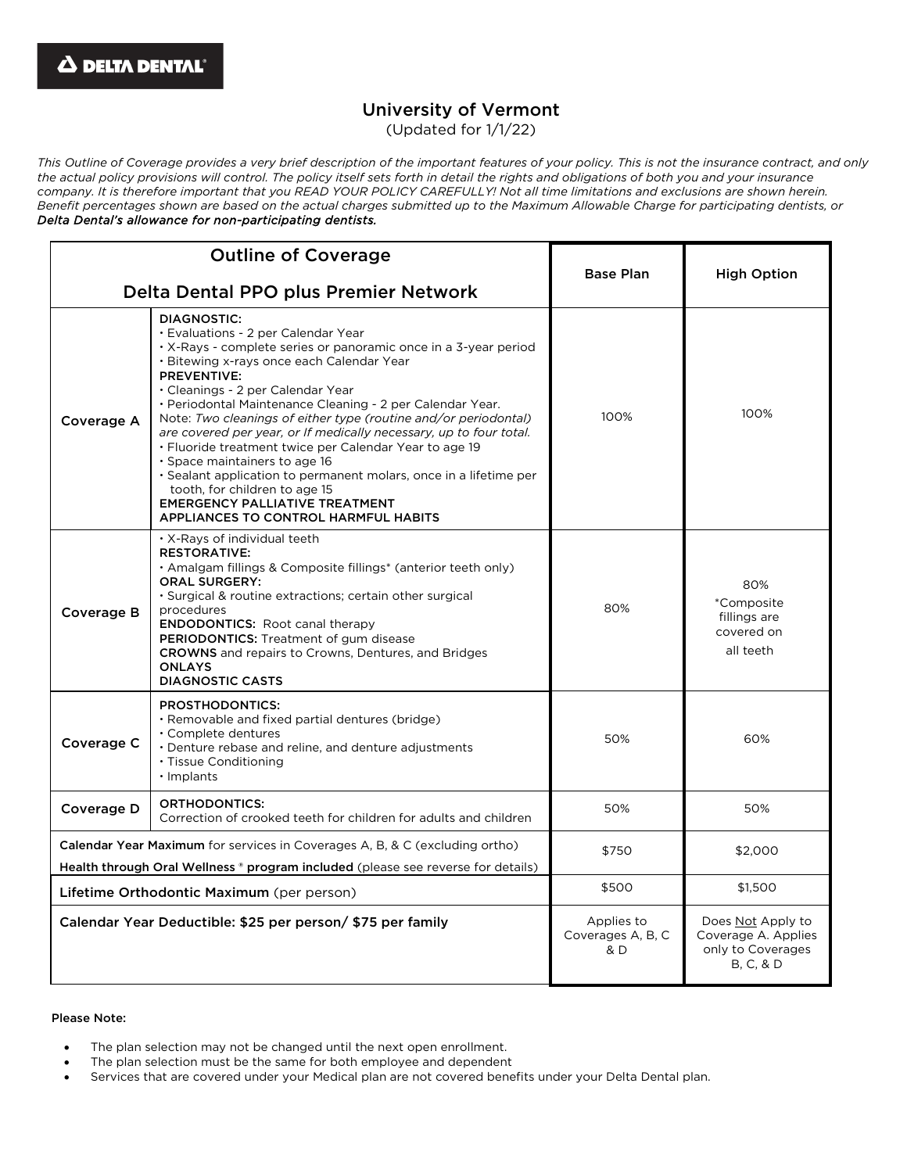# University of Vermont

(Updated for 1/1/22)

*This Outline of Coverage provides a very brief description of the important features of your policy. This is not the insurance contract, and only the actual policy provisions will control. The policy itself sets forth in detail the rights and obligations of both you and your insurance company. It is therefore important that you READ YOUR POLICY CAREFULLY! Not all time limitations and exclusions are shown herein. Benefit percentages shown are based on the actual charges submitted up to the Maximum Allowable Charge for participating dentists, or Delta Dental's allowance for non-participating dentists.*

| <b>Outline of Coverage</b>                                                                                                                                             |                                                                                                                                                                                                                                                                                                                                                                                                                                                                                                                                                                                                                                                                                                                                     |                                        |                                                                                       |
|------------------------------------------------------------------------------------------------------------------------------------------------------------------------|-------------------------------------------------------------------------------------------------------------------------------------------------------------------------------------------------------------------------------------------------------------------------------------------------------------------------------------------------------------------------------------------------------------------------------------------------------------------------------------------------------------------------------------------------------------------------------------------------------------------------------------------------------------------------------------------------------------------------------------|----------------------------------------|---------------------------------------------------------------------------------------|
| Delta Dental PPO plus Premier Network                                                                                                                                  |                                                                                                                                                                                                                                                                                                                                                                                                                                                                                                                                                                                                                                                                                                                                     | <b>Base Plan</b>                       | <b>High Option</b>                                                                    |
| Coverage A                                                                                                                                                             | <b>DIAGNOSTIC:</b><br>· Evaluations - 2 per Calendar Year<br>· X-Rays - complete series or panoramic once in a 3-year period<br>· Bitewing x-rays once each Calendar Year<br><b>PREVENTIVE:</b><br>• Cleanings - 2 per Calendar Year<br>• Periodontal Maintenance Cleaning - 2 per Calendar Year.<br>Note: Two cleanings of either type (routine and/or periodontal)<br>are covered per year, or If medically necessary, up to four total.<br>· Fluoride treatment twice per Calendar Year to age 19<br>· Space maintainers to age 16<br>· Sealant application to permanent molars, once in a lifetime per<br>tooth, for children to age 15<br><b>EMERGENCY PALLIATIVE TREATMENT</b><br><b>APPLIANCES TO CONTROL HARMFUL HABITS</b> | 100%                                   | 100%                                                                                  |
| Coverage B                                                                                                                                                             | · X-Rays of individual teeth<br><b>RESTORATIVE:</b><br>· Amalgam fillings & Composite fillings* (anterior teeth only)<br><b>ORAL SURGERY:</b><br>· Surgical & routine extractions; certain other surgical<br>procedures<br><b>ENDODONTICS:</b> Root canal therapy<br>PERIODONTICS: Treatment of gum disease<br><b>CROWNS</b> and repairs to Crowns, Dentures, and Bridges<br><b>ONLAYS</b><br><b>DIAGNOSTIC CASTS</b>                                                                                                                                                                                                                                                                                                               | 80%                                    | 80%<br>*Composite<br>fillings are<br>covered on<br>all teeth                          |
| Coverage C                                                                                                                                                             | <b>PROSTHODONTICS:</b><br>· Removable and fixed partial dentures (bridge)<br>· Complete dentures<br>• Denture rebase and reline, and denture adjustments<br>· Tissue Conditioning<br>· Implants                                                                                                                                                                                                                                                                                                                                                                                                                                                                                                                                     | 50%                                    | 60%                                                                                   |
| Coverage D                                                                                                                                                             | ORTHODONTICS:<br>Correction of crooked teeth for children for adults and children                                                                                                                                                                                                                                                                                                                                                                                                                                                                                                                                                                                                                                                   | 50%                                    | 50%                                                                                   |
| <b>Calendar Year Maximum</b> for services in Coverages A, B, & C (excluding ortho)<br>Health through Oral Wellness ® program included (please see reverse for details) |                                                                                                                                                                                                                                                                                                                                                                                                                                                                                                                                                                                                                                                                                                                                     | \$750                                  | \$2,000                                                                               |
| Lifetime Orthodontic Maximum (per person)                                                                                                                              |                                                                                                                                                                                                                                                                                                                                                                                                                                                                                                                                                                                                                                                                                                                                     | \$500                                  | \$1,500                                                                               |
| Calendar Year Deductible: \$25 per person/ \$75 per family                                                                                                             |                                                                                                                                                                                                                                                                                                                                                                                                                                                                                                                                                                                                                                                                                                                                     | Applies to<br>Coverages A, B, C<br>& D | Does Not Apply to<br>Coverage A. Applies<br>only to Coverages<br><b>B, C, &amp; D</b> |

### Please Note:

- The plan selection may not be changed until the next open enrollment.
- The plan selection must be the same for both employee and dependent
- Services that are covered under your Medical plan are not covered benefits under your Delta Dental plan.